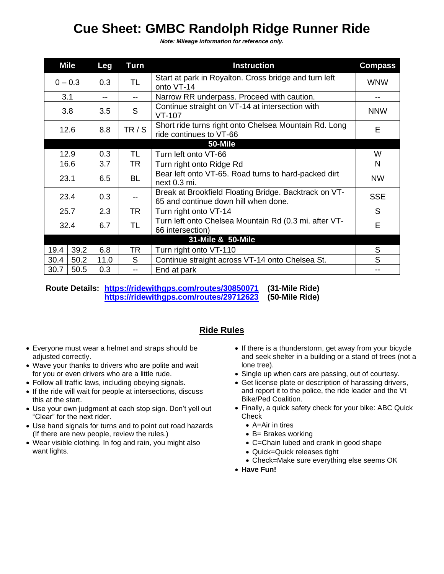## **Cue Sheet: GMBC Randolph Ridge Runner Ride**

*Note: Mileage information for reference only.*

|           | <b>Mile</b> | Leg  | Turn      | <b>Instruction</b>                                                                            | <b>Compass</b> |
|-----------|-------------|------|-----------|-----------------------------------------------------------------------------------------------|----------------|
| $0 - 0.3$ |             | 0.3  | <b>TL</b> | Start at park in Royalton. Cross bridge and turn left<br>onto VT-14                           | <b>WNW</b>     |
| 3.1       |             |      | $-$       | Narrow RR underpass. Proceed with caution.                                                    |                |
| 3.8       |             | 3.5  | S         | Continue straight on VT-14 at intersection with<br>$VT-107$                                   | <b>NNW</b>     |
| 12.6      |             | 8.8  | TR / S    | Short ride turns right onto Chelsea Mountain Rd. Long<br>ride continues to VT-66              | E              |
|           |             |      |           | 50-Mile                                                                                       |                |
| 12.9      |             | 0.3  | TL.       | Turn left onto VT-66                                                                          | W              |
| 16.6      |             | 3.7  | TR        | Turn right onto Ridge Rd                                                                      | N              |
| 23.1      |             | 6.5  | <b>BL</b> | Bear left onto VT-65. Road turns to hard-packed dirt<br>next 0.3 mi.                          | <b>NW</b>      |
| 23.4      |             | 0.3  |           | Break at Brookfield Floating Bridge. Backtrack on VT-<br>65 and continue down hill when done. | <b>SSE</b>     |
| 25.7      |             | 2.3  | <b>TR</b> | Turn right onto VT-14                                                                         | S.             |
| 32.4      |             | 6.7  | <b>TL</b> | Turn left onto Chelsea Mountain Rd (0.3 mi. after VT-<br>66 intersection)                     | E              |
|           |             |      |           | 31-Mile & 50-Mile                                                                             |                |
| 19.4      | 39.2        | 6.8  | TR        | Turn right onto VT-110                                                                        | S              |
| 30.4      | 50.2        | 11.0 | S.        | Continue straight across VT-14 onto Chelsea St.                                               | S              |
| 30.7      | 50.5        | 0.3  | $- -$     | End at park                                                                                   |                |

**Route Details: <https://ridewithgps.com/routes/30850071> (31-Mile Ride) <https://ridewithgps.com/routes/29712623> (50-Mile Ride)**

## **Ride Rules**

- Everyone must wear a helmet and straps should be adjusted correctly.
- Wave your thanks to drivers who are polite and wait for you or even drivers who are a little rude.
- Follow all traffic laws, including obeying signals.
- If the ride will wait for people at intersections, discuss this at the start.
- Use your own judgment at each stop sign. Don't yell out "Clear" for the next rider.
- Use hand signals for turns and to point out road hazards (If there are new people, review the rules.)
- Wear visible clothing. In fog and rain, you might also want lights.
- If there is a thunderstorm, get away from your bicycle and seek shelter in a building or a stand of trees (not a lone tree).
- Single up when cars are passing, out of courtesy.
- Get license plate or description of harassing drivers, and report it to the police, the ride leader and the Vt Bike/Ped Coalition.
- Finally, a quick safety check for your bike: ABC Quick Check
	- A=Air in tires
	- B= Brakes working
	- C=Chain lubed and crank in good shape
	- Quick=Quick releases tight
	- Check=Make sure everything else seems OK
- **Have Fun!**